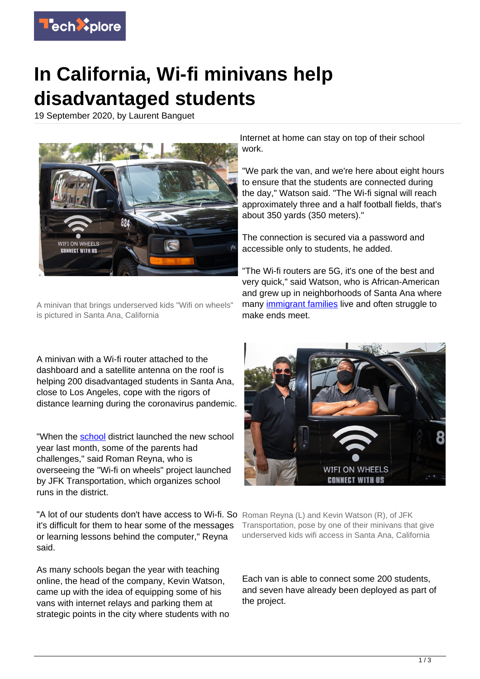

## **In California, Wi-fi minivans help disadvantaged students**

19 September 2020, by Laurent Banguet



A minivan that brings underserved kids "Wifi on wheels" is pictured in Santa Ana, California

A minivan with a Wi-fi router attached to the dashboard and a satellite antenna on the roof is helping 200 disadvantaged students in Santa Ana, close to Los Angeles, cope with the rigors of distance learning during the coronavirus pandemic.

"When the [school](https://techxplore.com/tags/school/) district launched the new school year last month, some of the parents had challenges," said Roman Reyna, who is overseeing the "Wi-fi on wheels" project launched by JFK Transportation, which organizes school runs in the district.

"A lot of our students don't have access to Wi-fi. So Roman Reyna (L) and Kevin Watson (R), of JFK it's difficult for them to hear some of the messages or learning lessons behind the computer," Reyna said.

As many schools began the year with teaching online, the head of the company, Kevin Watson, came up with the idea of equipping some of his vans with internet relays and parking them at strategic points in the city where students with no Internet at home can stay on top of their school work.

"We park the van, and we're here about eight hours to ensure that the students are connected during the day," Watson said. "The Wi-fi signal will reach approximately three and a half football fields, that's about 350 yards (350 meters)."

The connection is secured via a password and accessible only to students, he added.

"The Wi-fi routers are 5G, it's one of the best and very quick," said Watson, who is African-American and grew up in neighborhoods of Santa Ana where many *immigrant families* live and often struggle to make ends meet.



Transportation, pose by one of their minivans that give underserved kids wifi access in Santa Ana, California

Each van is able to connect some 200 students, and seven have already been deployed as part of the project.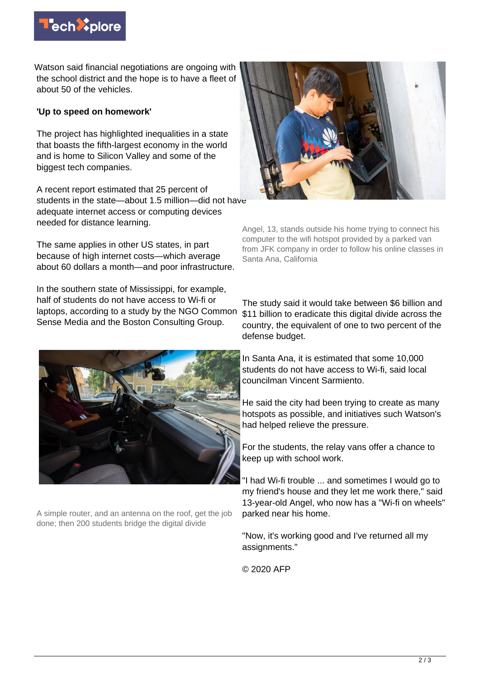

Watson said financial negotiations are ongoing with the school district and the hope is to have a fleet of about 50 of the vehicles.

## **'Up to speed on homework'**

The project has highlighted inequalities in a state that boasts the fifth-largest economy in the world and is home to Silicon Valley and some of the biggest tech companies.

A recent report estimated that 25 percent of students in the state—about 1.5 million—did not have adequate internet access or computing devices needed for distance learning.

The same applies in other US states, in part because of high internet costs—which average about 60 dollars a month—and poor infrastructure.

In the southern state of Mississippi, for example, half of students do not have access to Wi-fi or laptops, according to a study by the NGO Common Sense Media and the Boston Consulting Group.



A simple router, and an antenna on the roof, get the job done; then 200 students bridge the digital divide



Angel, 13, stands outside his home trying to connect his computer to the wifi hotspot provided by a parked van from JFK company in order to follow his online classes in Santa Ana, California

The study said it would take between \$6 billion and \$11 billion to eradicate this digital divide across the country, the equivalent of one to two percent of the defense budget.

In Santa Ana, it is estimated that some 10,000 students do not have access to Wi-fi, said local councilman Vincent Sarmiento.

He said the city had been trying to create as many hotspots as possible, and initiatives such Watson's had helped relieve the pressure.

For the students, the relay vans offer a chance to keep up with school work.

"I had Wi-fi trouble ... and sometimes I would go to my friend's house and they let me work there," said 13-year-old Angel, who now has a "Wi-fi on wheels" parked near his home.

"Now, it's working good and I've returned all my assignments."

© 2020 AFP